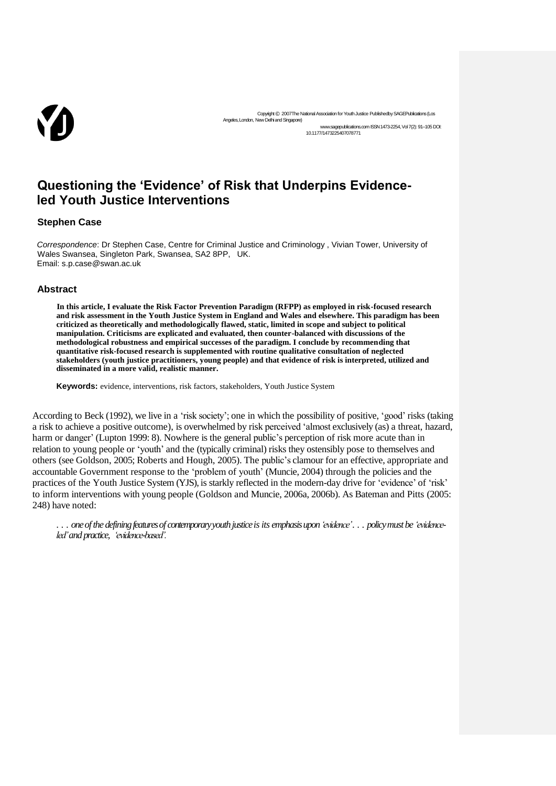

10.1177/1473225407078771

# **Questioning the 'Evidence' of Risk that Underpins Evidenceled Youth Justice Interventions**

### **Stephen Case**

*Correspondence*: Dr Stephen Case, Centre for Criminal Justice and Criminology , Vivian Tower, University of Wales Swansea, Singleton Park, Swansea, SA2 8PP, UK. Email: s.p.case*@*[swan.ac.uk](mailto:s.p.case@swan.ac.uk)

### **Abstract**

**In this article, I evaluate the Risk Factor Prevention Paradigm (RFPP) as employed in risk-focused research and risk assessment in the Youth Justice System in England and Wales and elsewhere. This paradigm has been criticized as theoretically and methodologically flawed, static, limited in scope and subject to political manipulation. Criticisms are explicated and evaluated, then counter-balanced with discussions of the methodological robustness and empirical successes of the paradigm. I conclude by recommending that quantitative risk-focused research is supplemented with routine qualitative consultation of neglected stakeholders (youth justice practitioners, young people) and that evidence of risk is interpreted, utilized and disseminated in a more valid, realistic manner.**

**Keywords:** evidence, interventions, risk factors, stakeholders, Youth Justice System

According to Beck (1992), we live in a 'risk society'; one in which the possibility of positive, 'good' risks (taking a risk to achieve a positive outcome), is overwhelmed by risk perceived 'almost exclusively (as) a threat, hazard, harm or danger' (Lupton 1999: 8). Nowhere is the general public's perception of risk more acute than in relation to young people or 'youth' and the (typically criminal) risks they ostensibly pose to themselves and others (see Goldson, 2005; Roberts and Hough, 2005). The public's clamour for an effective, appropriate and accountable Government response to the 'problem of youth' (Muncie, 2004) through the policies and the practices of the Youth Justice System (YJS), is starkly reflected in the modern-day drive for 'evidence' of 'risk' to inform interventions with young people (Goldson and Muncie, 2006a, 2006b). As Bateman and Pitts (2005: 248) have noted:

*. . . one of the defining features of contemporary youth justice is its emphasis upon 'evidence' . . . policy must be 'evidenceled' and practice, 'evidence-based'.*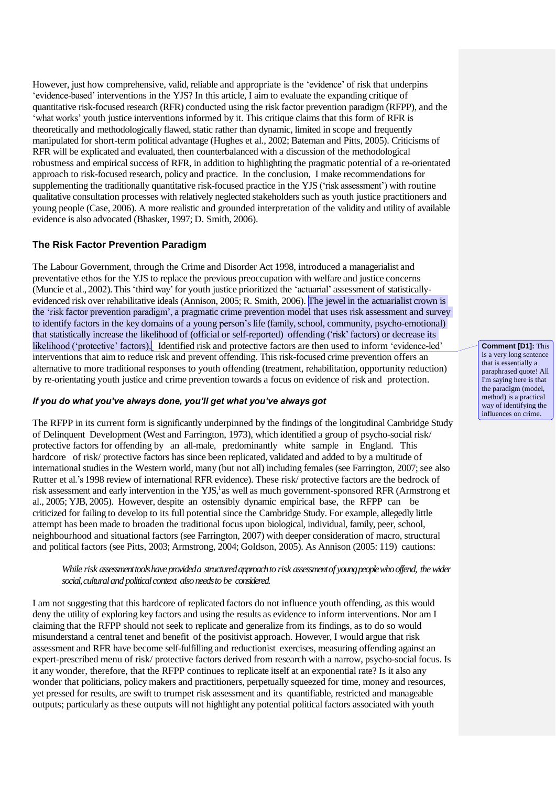However, just how comprehensive, valid, reliable and appropriate is the 'evidence' of risk that underpins 'evidence-based' interventions in the YJS? In this article, I aim to evaluate the expanding critique of quantitative risk-focused research (RFR) conducted using the risk factor prevention paradigm (RFPP), and the 'what works' youth justice interventions informed by it. This critique claims that this form of RFR is theoretically and methodologically flawed, static rather than dynamic, limited in scope and frequently manipulated for short-term political advantage (Hughes et al., 2002; Bateman and Pitts, 2005). Criticisms of RFR will be explicated and evaluated, then counterbalanced with a discussion of the methodological robustness and empirical success of RFR, in addition to highlighting the pragmatic potential of a re-orientated approach to risk-focused research, policy and practice. In the conclusion, I make recommendations for supplementing the traditionally quantitative risk-focused practice in the YJS ('risk assessment') with routine qualitative consultation processes with relatively neglected stakeholders such as youth justice practitioners and young people (Case, 2006). A more realistic and grounded interpretation of the validity and utility of available evidence is also advocated (Bhasker, 1997; D. Smith, 2006).

## **The Risk Factor Prevention Paradigm**

The Labour Government, through the Crime and Disorder Act 1998, introduced a managerialist and preventative ethos for the YJS to replace the previous preoccupation with welfare and justice concerns (Muncie et al., 2002). This 'third way' for youth justice prioritized the 'actuarial' assessment of statisticallyevidenced risk over rehabilitative ideals (Annison, 2005; R. Smith, 2006). The jewel in the actuarialist crown is the 'risk factor prevention paradigm', a pragmatic crime prevention model that uses risk assessment and survey to identify factors in the key domains of a young person's life (family, school, community, psycho-emotional) that statistically increase the likelihood of (official or self-reported) offending ('risk' factors) or decrease its likelihood ('protective' factors). Identified risk and protective factors are then used to inform 'evidence-led' interventions that aim to reduce risk and prevent offending. This risk-focused crime prevention offers an alternative to more traditional responses to youth offending (treatment, rehabilitation, opportunity reduction) by re-orientating youth justice and crime prevention towards a focus on evidence of risk and protection.

### *If you do what you've always done, you'll get what you've always got*

The RFPP in its current form is significantly underpinned by the findings of the longitudinal Cambridge Study of Delinquent Development (West and Farrington, 1973), which identified a group of psycho-social risk/ protective factors for offending by an all-male, predominantly white sample in England. This hardcore of risk/ protective factors has since been replicated, validated and added to by a multitude of international studies in the Western world, many (but not all) including females (see Farrington, 2007; see also Rutter et al.'s 1998 review of international RFR evidence). These risk/ protective factors are the bedrock of risk assessment and early intervention in the YJS,<sup>1</sup> as well as much government-sponsored RFR (Armstrong et al., 2005; YJB, 2005). However, despite an ostensibly dynamic empirical base, the RFPP can be criticized for failing to develop to its full potential since the Cambridge Study. For example, allegedly little attempt has been made to broaden the traditional focus upon biological, individual, family, peer, school, neighbourhood and situational factors (see Farrington, 2007) with deeper consideration of macro, structural and political factors (see Pitts, 2003; Armstrong, 2004; Goldson, 2005). As Annison (2005: 119) cautions:

### While risk assessment tools have provided a structured approach to risk assessment of young people who offend, the wider *social, cultural and political context also needs to be considered.*

I am not suggesting that this hardcore of replicated factors do not influence youth offending, as this would deny the utility of exploring key factors and using the results as evidence to inform interventions. Nor am I claiming that the RFPP should not seek to replicate and generalize from its findings, as to do so would misunderstand a central tenet and benefit of the positivist approach. However, I would argue that risk assessment and RFR have become self-fulfilling and reductionist exercises, measuring offending against an expert-prescribed menu of risk/ protective factors derived from research with a narrow, psycho-social focus. Is it any wonder, therefore, that the RFPP continues to replicate itself at an exponential rate? Is it also any wonder that politicians, policy makers and practitioners, perpetually squeezed for time, money and resources, yet pressed for results, are swift to trumpet risk assessment and its quantifiable, restricted and manageable outputs; particularly as these outputs will not highlight any potential political factors associated with youth

**Comment [D1]:** This is a very long sentence that is essentially a paraphrased quote! All I'm saying here is that the paradigm (model, method) is a practical way of identifying the influences on crime.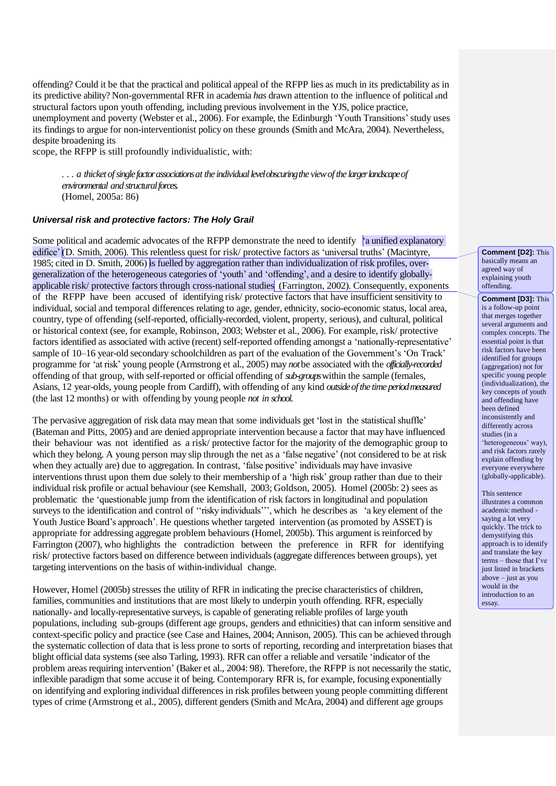offending? Could it be that the practical and political appeal of the RFPP lies as much in its predictability as in its predictive ability? Non-governmental RFR in academia *has* drawn attention to the influence of political and structural factors upon youth offending, including previous involvement in the YJS, police practice, unemployment and poverty (Webster et al., 2006). For example, the Edinburgh 'Youth Transitions' study uses its findings to argue for non-interventionist policy on these grounds (Smith and McAra, 2004). Nevertheless, despite broadening its

scope, the RFPP is still profoundly individualistic, with:

*. . . a thicket of single factor associations at the individual level obscuring the view of the larger landscape of environmental and structural forces.* (Homel, 2005a: 86)

### *Universal risk and protective factors: The Holy Grail*

Some political and academic advocates of the RFPP demonstrate the need to identify 'a unified explanatory edifice' (D. Smith, 2006). This relentless quest for risk/ protective factors as 'universal truths' (Macintyre, 1985; cited in D. Smith, 2006) is fuelled by aggregation rather than individualization of risk profiles, overgeneralization of the heterogeneous categories of 'youth' and 'offending', and a desire to identify globallyapplicable risk/ protective factors through cross-national studies (Farrington, 2002). Consequently, exponents of the RFPP have been accused of identifying risk/ protective factors that have insufficient sensitivity to individual, social and temporal differences relating to age, gender, ethnicity, socio-economic status, local area, country, type of offending (self-reported, officially-recorded, violent, property, serious), and cultural, political or historical context (see, for example, Robinson, 2003; Webster et al., 2006). For example, risk/ protective factors identified as associated with active (recent) self-reported offending amongst a 'nationally-representative' sample of 10–16 year-old secondary schoolchildren as part of the evaluation of the Government's 'On Track' programme for 'at risk' young people (Armstrong et al., 2005) may *not* be associated with the *officially-recorded*  offending of that group, with self-reported or official offending of *sub-groups* within the sample (females, Asians, 12 year-olds, young people from Cardiff), with offending of any kind *outside of the time period measured*  (the last 12 months) or with offending by young people *not in school*.

The pervasive aggregation of risk data may mean that some individuals get 'lost in the statistical shuffle' (Bateman and Pitts, 2005) and are denied appropriate intervention because a factor that may have influenced their behaviour was not identified as a risk/ protective factor for the majority of the demographic group to which they belong. A young person may slip through the net as a 'false negative' (not considered to be at risk when they actually are) due to aggregation. In contrast, 'false positive' individuals may have invasive interventions thrust upon them due solely to their membership of a 'high risk' group rather than due to their individual risk profile or actual behaviour (see Kemshall, 2003; Goldson, 2005). Homel (2005b: 2) sees as problematic the 'questionable jump from the identification of risk factors in longitudinal and population surveys to the identification and control of ''risky individuals''', which he describes as 'a key element of the Youth Justice Board's approach'. He questions whether targeted intervention (as promoted by ASSET) is appropriate for addressing aggregate problem behaviours (Homel, 2005b). This argument is reinforced by Farrington (2007), who highlights the contradiction between the preference in RFR for identifying risk/ protective factors based on difference between individuals (aggregate differences between groups), yet targeting interventions on the basis of within-individual change.

However, Homel (2005b) stresses the utility of RFR in indicating the precise characteristics of children, families, communities and institutions that are most likely to underpin youth offending. RFR, especially nationally- and locally-representative surveys, is capable of generating reliable profiles of large youth populations, including sub-groups (different age groups, genders and ethnicities) that can inform sensitive and context-specific policy and practice (see Case and Haines, 2004; Annison, 2005). This can be achieved through the systematic collection of data that is less prone to sorts of reporting, recording and interpretation biases that blight official data systems (see also Tarling, 1993). RFR can offer a reliable and versatile 'indicator of the problem areas requiring intervention' (Baker et al., 2004: 98). Therefore, the RFPP is not necessarily the static, inflexible paradigm that some accuse it of being. Contemporary RFR is, for example, focusing exponentially on identifying and exploring individual differences in risk profiles between young people committing different types of crime (Armstrong et al., 2005), different genders (Smith and McAra, 2004) and different age groups

**Comment [D2]:** This basically means an agreed way of explaining youth offending.

**Comment [D3]:** This is a follow-up point that merges together several arguments and complex concepts. The essential point is that risk factors have been identified for groups (aggregation) not for specific young people (individualization), the key concepts of youth and offending have been defined inconsistently and differently across studies (in a 'heterogeneous' way), and risk factors rarely explain offending by everyone everywhere (globally-applicable).

This sentence illustrates a common academic method saying a lot very quickly. The trick to demystifying this approach is to identify and translate the key terms – those that I've just listed in brackets above – just as you would in the introduction to an essay.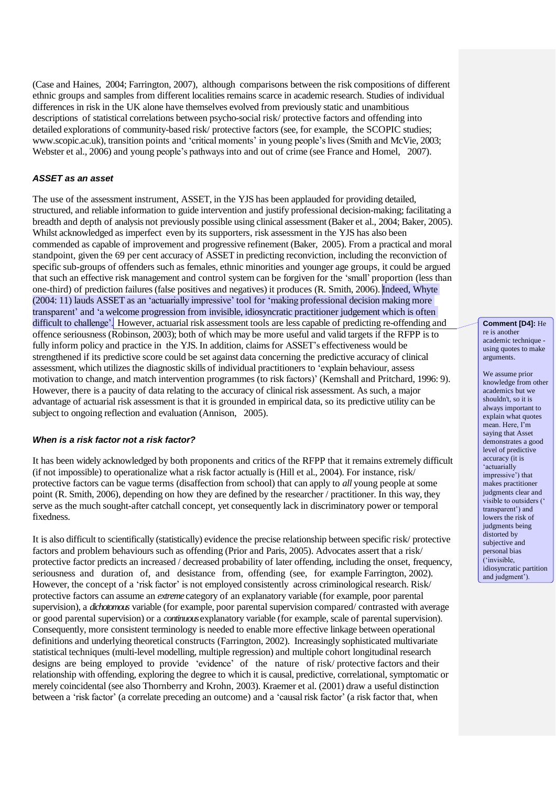(Case and Haines, 2004; Farrington, 2007), although comparisons between the risk compositions of different ethnic groups and samples from different localities remains scarce in academic research. Studies of individual differences in risk in the UK alone have themselves evolved from previously static and unambitious descriptions of statistical correlations between psycho-social risk/ protective factors and offending into detailed explorations of community-based risk/ protective factors (see, for example, the SCOPIC studies; www.scopic.ac.uk), transition points and 'critical moments' in young people's lives (Smith and McVie, 2003; Webster et al., 2006) and young people's pathways into and out of crime (see France and Homel, 2007).

### *ASSET as an asset*

The use of the assessment instrument, ASSET, in the YJS has been applauded for providing detailed, structured, and reliable information to guide intervention and justify professional decision-making; facilitating a breadth and depth of analysis not previously possible using clinical assessment (Baker et al., 2004; Baker, 2005). Whilst acknowledged as imperfect even by its supporters, risk assessment in the YJS has also been commended as capable of improvement and progressive refinement (Baker, 2005). From a practical and moral standpoint, given the 69 per cent accuracy of ASSET in predicting reconviction, including the reconviction of specific sub-groups of offenders such as females, ethnic minorities and younger age groups, it could be argued that such an effective risk management and control system can be forgiven for the 'small' proportion (less than one-third) of prediction failures (false positives and negatives) it produces (R. Smith, 2006). Indeed, Whyte (2004: 11) lauds ASSET as an 'actuarially impressive' tool for 'making professional decision making more transparent' and 'a welcome progression from invisible, idiosyncratic practitioner judgement which is often difficult to challenge'. However, actuarial risk assessment tools are less capable of predicting re-offending and offence seriousness (Robinson, 2003); both of which may be more useful and valid targets if the RFPP is to fully inform policy and practice in the YJS. In addition, claims for ASSET's effectiveness would be strengthened if its predictive score could be set against data concerning the predictive accuracy of clinical assessment, which utilizes the diagnostic skills of individual practitioners to 'explain behaviour, assess motivation to change, and match intervention programmes (to risk factors)' (Kemshall and Pritchard, 1996: 9). However, there is a paucity of data relating to the accuracy of clinical risk assessment. As such, a major advantage of actuarial risk assessment is that it is grounded in empirical data, so its predictive utility can be subject to ongoing reflection and evaluation (Annison, 2005).

### *When is a risk factor not a risk factor?*

It has been widely acknowledged by both proponents and critics of the RFPP that it remains extremely difficult (if not impossible) to operationalize what a risk factor actually is (Hill et al., 2004). For instance, risk/ protective factors can be vague terms (disaffection from school) that can apply to *all* young people at some point (R. Smith, 2006), depending on how they are defined by the researcher / practitioner. In this way, they serve as the much sought-after catchall concept, yet consequently lack in discriminatory power or temporal fixedness.

It is also difficult to scientifically (statistically) evidence the precise relationship between specific risk/ protective factors and problem behaviours such as offending (Prior and Paris, 2005). Advocates assert that a risk/ protective factor predicts an increased / decreased probability of later offending, including the onset, frequency, seriousness and duration of, and desistance from, offending (see, for example Farrington, 2002). However, the concept of a 'risk factor' is not employed consistently across criminological research. Risk/ protective factors can assume an *extreme* category of an explanatory variable (for example, poor parental supervision), a *dichotomous* variable (for example, poor parental supervision compared/ contrasted with average or good parental supervision) or a *continuous* explanatory variable (for example, scale of parental supervision). Consequently, more consistent terminology is needed to enable more effective linkage between operational definitions and underlying theoretical constructs (Farrington, 2002). Increasingly sophisticated multivariate statistical techniques (multi-level modelling, multiple regression) and multiple cohort longitudinal research designs are being employed to provide 'evidence' of the nature of risk/ protective factors and their relationship with offending, exploring the degree to which it is causal, predictive, correlational, symptomatic or merely coincidental (see also Thornberry and Krohn, 2003). Kraemer et al. (2001) draw a useful distinction between a 'risk factor' (a correlate preceding an outcome) and a 'causal risk factor' (a risk factor that, when

#### **Comment [D4]:** He re is another academic technique -

using quotes to make arguments.

We assume prior knowledge from other academics but we shouldn't, so it is always important to explain what quotes mean. Here, I'm saying that Asset demonstrates a good level of predictive accuracy (it is 'actuarially impressive') that makes practitioner judgments clear and visible to outsiders (' transparent') and lowers the risk of judgments being distorted by subjective and personal bias ('invisible, idiosyncratic partition and judgment').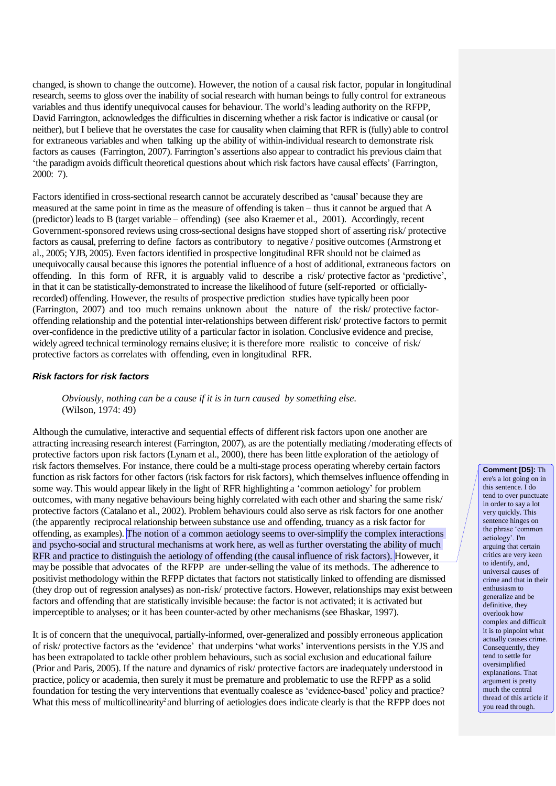changed, is shown to change the outcome). However, the notion of a causal risk factor, popular in longitudinal research, seems to gloss over the inability of social research with human beings to fully control for extraneous variables and thus identify unequivocal causes for behaviour. The world's leading authority on the RFPP, David Farrington, acknowledges the difficulties in discerning whether a risk factor is indicative or causal (or neither), but I believe that he overstates the case for causality when claiming that RFR is (fully) able to control for extraneous variables and when talking up the ability of within-individual research to demonstrate risk factors as causes (Farrington, 2007). Farrington's assertions also appear to contradict his previous claim that 'the paradigm avoids difficult theoretical questions about which risk factors have causal effects' (Farrington, 2000: 7).

Factors identified in cross-sectional research cannot be accurately described as 'causal' because they are measured at the same point in time as the measure of offending is taken – thus it cannot be argued that A (predictor) leads to B (target variable – offending) (see also Kraemer et al., 2001). Accordingly, recent Government-sponsored reviews using cross-sectional designs have stopped short of asserting risk/ protective factors as causal, preferring to define factors as contributory to negative / positive outcomes (Armstrong et al., 2005; YJB, 2005). Even factors identified in prospective longitudinal RFR should not be claimed as unequivocally causal because this ignores the potential influence of a host of additional, extraneous factors on offending. In this form of RFR, it is arguably valid to describe a risk/ protective factor as 'predictive', in that it can be statistically-demonstrated to increase the likelihood of future (self-reported or officiallyrecorded) offending. However, the results of prospective prediction studies have typically been poor (Farrington, 2007) and too much remains unknown about the nature of the risk/ protective factoroffending relationship and the potential inter-relationships between different risk/ protective factors to permit over-confidence in the predictive utility of a particular factor in isolation. Conclusive evidence and precise, widely agreed technical terminology remains elusive; it is therefore more realistic to conceive of risk/ protective factors as correlates with offending, even in longitudinal RFR.

### *Risk factors for risk factors*

*Obviously, nothing can be a cause if it is in turn caused by something else.* (Wilson, 1974: 49)

Although the cumulative, interactive and sequential effects of different risk factors upon one another are attracting increasing research interest (Farrington, 2007), as are the potentially mediating /moderating effects of protective factors upon risk factors (Lynam et al., 2000), there has been little exploration of the aetiology of risk factors themselves. For instance, there could be a multi-stage process operating whereby certain factors function as risk factors for other factors (risk factors for risk factors), which themselves influence offending in some way. This would appear likely in the light of RFR highlighting a 'common aetiology' for problem outcomes, with many negative behaviours being highly correlated with each other and sharing the same risk/ protective factors (Catalano et al., 2002). Problem behaviours could also serve as risk factors for one another (the apparently reciprocal relationship between substance use and offending, truancy as a risk factor for offending, as examples). The notion of a common aetiology seems to over-simplify the complex interactions and psycho-social and structural mechanisms at work here, as well as further overstating the ability of much RFR and practice to distinguish the aetiology of offending (the causal influence of risk factors). However, it may be possible that advocates of the RFPP are under-selling the value of its methods. The adherence to positivist methodology within the RFPP dictates that factors not statistically linked to offending are dismissed (they drop out of regression analyses) as non-risk/ protective factors. However, relationships may exist between factors and offending that are statistically invisible because: the factor is not activated; it is activated but imperceptible to analyses; or it has been counter-acted by other mechanisms (see Bhaskar, 1997).

It is of concern that the unequivocal, partially-informed, over-generalized and possibly erroneous application of risk/ protective factors as the 'evidence' that underpins 'what works' interventions persists in the YJS and has been extrapolated to tackle other problem behaviours, such as social exclusion and educational failure (Prior and Paris, 2005). If the nature and dynamics of risk/ protective factors are inadequately understood in practice, policy or academia, then surely it must be premature and problematic to use the RFPP as a solid foundation for testing the very interventions that eventually coalesce as 'evidence-based' policy and practice? What this mess of multicollinearity<sup>2</sup> and blurring of aetiologies does indicate clearly is that the RFPP does not

# **Comment [D5]:** Th

ere's a lot going on in this sentence. I do tend to over punctuate in order to say a lot very quickly. This sentence hinges on the phrase 'common aetiology'. I'm arguing that certain critics are very keen to identify, and, universal causes of crime and that in their enthusiasm to generalize and be definitive, they overlook how complex and difficult it is to pinpoint what actually causes crime. Consequently, they tend to settle for oversimplified explanations. That argument is pretty much the central thread of this article if you read through.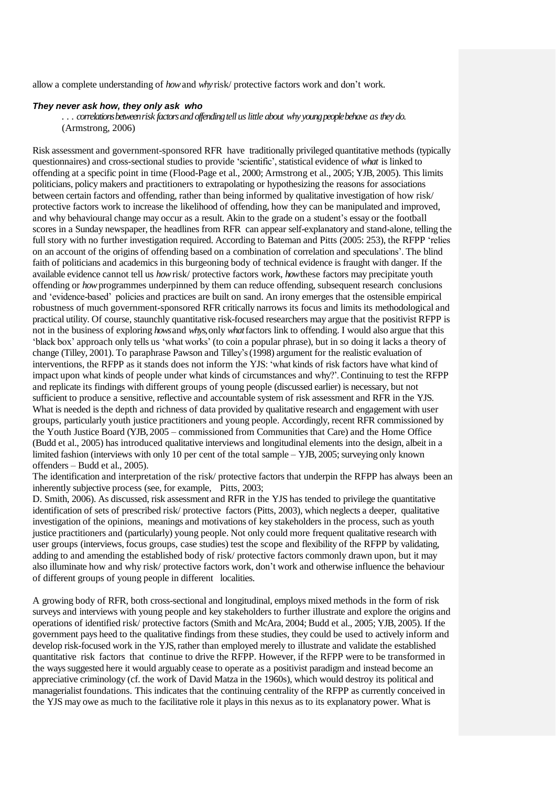allow a complete understanding of *how* and *why* risk/ protective factors work and don't work.

### *They never ask how, they only ask who*

*. . . correlations between risk factors and offending tell us little about why young people behave as they do.* (Armstrong, 2006)

Risk assessment and government-sponsored RFR have traditionally privileged quantitative methods (typically questionnaires) and cross-sectional studies to provide 'scientific', statistical evidence of *what* is linked to offending at a specific point in time (Flood-Page et al., 2000; Armstrong et al., 2005; YJB, 2005). This limits politicians, policy makers and practitioners to extrapolating or hypothesizing the reasons for associations between certain factors and offending, rather than being informed by qualitative investigation of how risk/ protective factors work to increase the likelihood of offending, how they can be manipulated and improved, and why behavioural change may occur as a result. Akin to the grade on a student's essay or the football scores in a Sunday newspaper, the headlines from RFR can appear self-explanatory and stand-alone, telling the full story with no further investigation required. According to Bateman and Pitts (2005: 253), the RFPP 'relies on an account of the origins of offending based on a combination of correlation and speculations'. The blind faith of politicians and academics in this burgeoning body of technical evidence is fraught with danger. If the available evidence cannot tell us *how* risk/ protective factors work, *how* these factors may precipitate youth offending or *how* programmes underpinned by them can reduce offending, subsequent research conclusions and 'evidence-based' policies and practices are built on sand. An irony emerges that the ostensible empirical robustness of much government-sponsored RFR critically narrows its focus and limits its methodological and practical utility. Of course, staunchly quantitative risk-focused researchers may argue that the positivist RFPP is not in the business of exploring *hows* and *whys*, only *what* factors link to offending. I would also argue that this 'black box' approach only tells us 'what works' (to coin a popular phrase), but in so doing it lacks a theory of change (Tilley, 2001). To paraphrase Pawson and Tilley's (1998) argument for the realistic evaluation of interventions, the RFPP as it stands does not inform the YJS: 'what kinds of risk factors have what kind of impact upon what kinds of people under what kinds of circumstances and why?'. Continuing to test the RFPP and replicate its findings with different groups of young people (discussed earlier) is necessary, but not sufficient to produce a sensitive, reflective and accountable system of risk assessment and RFR in the YJS. What is needed is the depth and richness of data provided by qualitative research and engagement with user groups, particularly youth justice practitioners and young people. Accordingly, recent RFR commissioned by the Youth Justice Board (YJB, 2005 – commissioned from Communities that Care) and the Home Office (Budd et al., 2005) has introduced qualitative interviews and longitudinal elements into the design, albeit in a limited fashion (interviews with only 10 per cent of the total sample – YJB, 2005; surveying only known offenders – Budd et al., 2005).

The identification and interpretation of the risk/ protective factors that underpin the RFPP has always been an inherently subjective process (see, for example, Pitts, 2003;

D. Smith, 2006). As discussed, risk assessment and RFR in the YJS has tended to privilege the quantitative identification of sets of prescribed risk/ protective factors (Pitts, 2003), which neglects a deeper, qualitative investigation of the opinions, meanings and motivations of key stakeholders in the process, such as youth justice practitioners and (particularly) young people. Not only could more frequent qualitative research with user groups (interviews, focus groups, case studies) test the scope and flexibility of the RFPP by validating, adding to and amending the established body of risk/ protective factors commonly drawn upon, but it may also illuminate how and why risk/ protective factors work, don't work and otherwise influence the behaviour of different groups of young people in different localities.

A growing body of RFR, both cross-sectional and longitudinal, employs mixed methods in the form of risk surveys and interviews with young people and key stakeholders to further illustrate and explore the origins and operations of identified risk/ protective factors (Smith and McAra, 2004; Budd et al., 2005; YJB, 2005). If the government pays heed to the qualitative findings from these studies, they could be used to actively inform and develop risk-focused work in the YJS, rather than employed merely to illustrate and validate the established quantitative risk factors that continue to drive the RFPP. However, if the RFPP were to be transformed in the ways suggested here it would arguably cease to operate as a positivist paradigm and instead become an appreciative criminology (cf. the work of David Matza in the 1960s), which would destroy its political and managerialist foundations. This indicates that the continuing centrality of the RFPP as currently conceived in the YJS may owe as much to the facilitative role it plays in this nexus as to its explanatory power. What is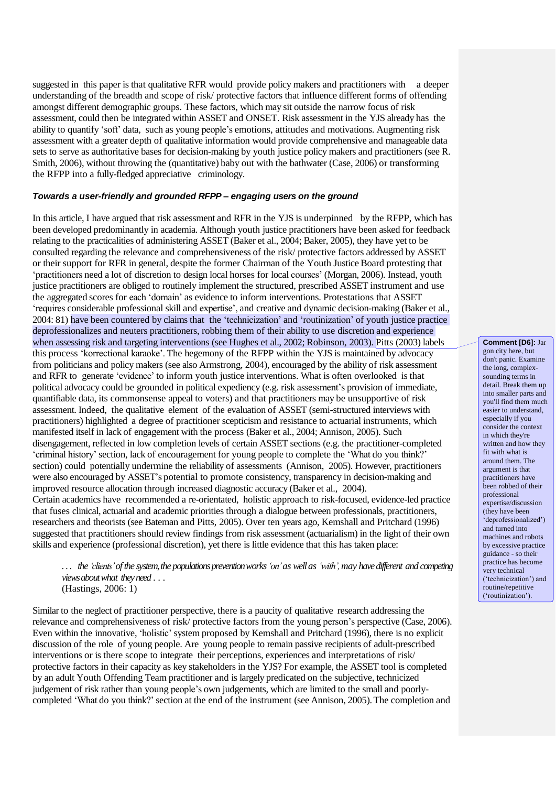suggested in this paper is that qualitative RFR would provide policy makers and practitioners with a deeper understanding of the breadth and scope of risk/ protective factors that influence different forms of offending amongst different demographic groups. These factors, which may sit outside the narrow focus of risk assessment, could then be integrated within ASSET and ONSET. Risk assessment in the YJS already has the ability to quantify 'soft' data, such as young people's emotions, attitudes and motivations. Augmenting risk assessment with a greater depth of qualitative information would provide comprehensive and manageable data sets to serve as authoritative bases for decision-making by youth justice policy makers and practitioners (see R. Smith, 2006), without throwing the (quantitative) baby out with the bathwater (Case, 2006) or transforming the RFPP into a fully-fledged appreciative criminology.

### *Towards a user-friendly and grounded RFPP – engaging users on the ground*

In this article, I have argued that risk assessment and RFR in the YJS is underpinned by the RFPP, which has been developed predominantly in academia. Although youth justice practitioners have been asked for feedback relating to the practicalities of administering ASSET (Baker et al., 2004; Baker, 2005), they have yet to be consulted regarding the relevance and comprehensiveness of the risk/ protective factors addressed by ASSET or their support for RFR in general, despite the former Chairman of the Youth Justice Board protesting that 'practitioners need a lot of discretion to design local horses for local courses' (Morgan, 2006). Instead, youth justice practitioners are obliged to routinely implement the structured, prescribed ASSET instrument and use the aggregated scores for each 'domain' as evidence to inform interventions. Protestations that ASSET 'requires considerable professional skill and expertise', and creative and dynamic decision-making (Baker et al., 2004: 81) have been countered by claims that the 'technicization' and 'routinization' of youth justice practice deprofessionalizes and neuters practitioners, robbing them of their ability to use discretion and experience when assessing risk and targeting interventions (see Hughes et al., 2002; Robinson, 2003). Pitts (2003) labels this process 'korrectional karaoke'. The hegemony of the RFPP within the YJS is maintained by advocacy from politicians and policy makers (see also Armstrong, 2004), encouraged by the ability of risk assessment and RFR to generate 'evidence' to inform youth justice interventions. What is often overlooked is that political advocacy could be grounded in political expediency (e.g. risk assessment's provision of immediate, quantifiable data, its commonsense appeal to voters) and that practitioners may be unsupportive of risk assessment. Indeed, the qualitative element of the evaluation of ASSET (semi-structured interviews with practitioners) highlighted a degree of practitioner scepticism and resistance to actuarial instruments, which manifested itself in lack of engagement with the process (Baker et al., 2004; Annison, 2005). Such disengagement, reflected in low completion levels of certain ASSET sections (e.g. the practitioner-completed 'criminal history' section, lack of encouragement for young people to complete the 'What do you think?' section) could potentially undermine the reliability of assessments (Annison, 2005). However, practitioners were also encouraged by ASSET's potential to promote consistency, transparency in decision-making and improved resource allocation through increased diagnostic accuracy (Baker et al., 2004). Certain academics have recommended a re-orientated, holistic approach to risk-focused, evidence-led practice that fuses clinical, actuarial and academic priorities through a dialogue between professionals, practitioners, researchers and theorists (see Bateman and Pitts, 2005). Over ten years ago, Kemshall and Pritchard (1996) suggested that practitioners should review findings from risk assessment (actuarialism) in the light of their own skills and experience (professional discretion), yet there is little evidence that this has taken place:

*. . . the 'clients' of the system, the populations prevention works 'on' as well as 'with', may have different and competing views about what they need . . .* (Hastings, 2006: 1)

Similar to the neglect of practitioner perspective, there is a paucity of qualitative research addressing the relevance and comprehensiveness of risk/ protective factors from the young person's perspective (Case, 2006). Even within the innovative, 'holistic' system proposed by Kemshall and Pritchard (1996), there is no explicit discussion of the role of young people. Are young people to remain passive recipients of adult-prescribed interventions or is there scope to integrate their perceptions, experiences and interpretations of risk/ protective factors in their capacity as key stakeholders in the YJS? For example, the ASSET tool is completed by an adult Youth Offending Team practitioner and is largely predicated on the subjective, technicized judgement of risk rather than young people's own judgements, which are limited to the small and poorlycompleted 'What do you think?' section at the end of the instrument (see Annison, 2005). The completion and

#### **Comment [D6]:** Jar gon city here, but don't panic. Examine the long, complexsounding terms in detail. Break them up into smaller parts and you'll find them much easier to understand, especially if you consider the context in which they're written and how they fit with what is around them. The argument is that practitioners have been robbed of their professional expertise/discussion (they have been 'deprofessionalized') and turned into machines and robots by excessive practice guidance - so their practice has become very technical ('technicization') and routine/repetitive ('routinization').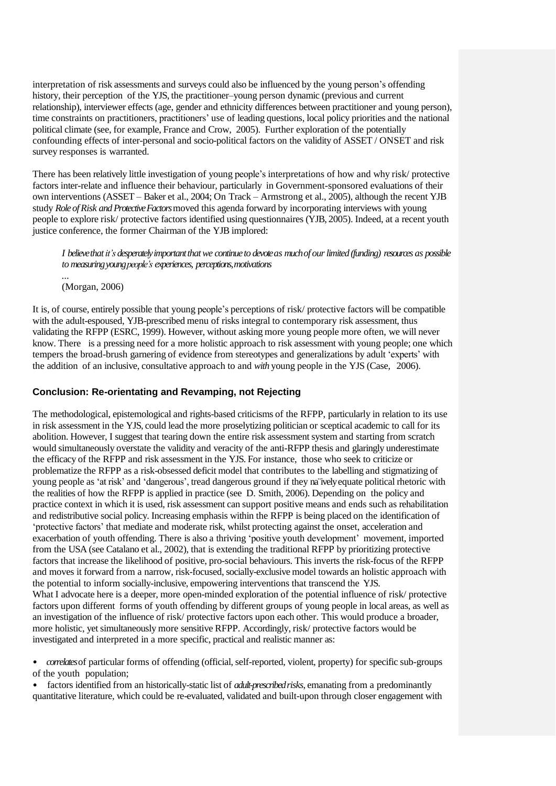interpretation of risk assessments and surveys could also be influenced by the young person's offending history, their perception of the YJS, the practitioner–young person dynamic (previous and current relationship), interviewer effects (age, gender and ethnicity differences between practitioner and young person), time constraints on practitioners, practitioners' use of leading questions, local policy priorities and the national political climate (see, for example, France and Crow, 2005). Further exploration of the potentially confounding effects of inter-personal and socio-political factors on the validity of ASSET / ONSET and risk survey responses is warranted.

There has been relatively little investigation of young people's interpretations of how and why risk/ protective factors inter-relate and influence their behaviour, particularly in Government-sponsored evaluations of their own interventions (ASSET – Baker et al., 2004; On Track – Armstrong et al., 2005), although the recent YJB study *Role of Risk and Protective Factors* moved this agenda forward by incorporating interviews with young people to explore risk/ protective factors identified using questionnaires (YJB, 2005). Indeed, at a recent youth justice conference, the former Chairman of the YJB implored:

*I believe that it's desperately important that we continue to devote as much of our limited (funding) resources as possible to measuring young people's experiences, perceptions, motivations*

(Morgan, 2006)

*...* 

It is, of course, entirely possible that young people's perceptions of risk/ protective factors will be compatible with the adult-espoused, YJB-prescribed menu of risks integral to contemporary risk assessment, thus validating the RFPP (ESRC, 1999). However, without asking more young people more often, we will never know. There is a pressing need for a more holistic approach to risk assessment with young people; one which tempers the broad-brush garnering of evidence from stereotypes and generalizations by adult 'experts' with the addition of an inclusive, consultative approach to and *with* young people in the YJS (Case, 2006).

## **Conclusion: Re-orientating and Revamping, not Rejecting**

The methodological, epistemological and rights-based criticisms of the RFPP, particularly in relation to its use in risk assessment in the YJS, could lead the more proselytizing politician or sceptical academic to call for its abolition. However, I suggest that tearing down the entire risk assessment system and starting from scratch would simultaneously overstate the validity and veracity of the anti-RFPP thesis and glaringly underestimate the efficacy of the RFPP and risk assessment in the YJS. For instance, those who seek to criticize or problematize the RFPP as a risk-obsessed deficit model that contributes to the labelling and stigmatizing of young people as 'at risk' and 'dangerous', tread dangerous ground if they na¨ively equate political rhetoric with the realities of how the RFPP is applied in practice (see D. Smith, 2006). Depending on the policy and practice context in which it is used, risk assessment can support positive means and ends such as rehabilitation and redistributive social policy. Increasing emphasis within the RFPP is being placed on the identification of 'protective factors' that mediate and moderate risk, whilst protecting against the onset, acceleration and exacerbation of youth offending. There is also a thriving 'positive youth development' movement, imported from the USA (see Catalano et al., 2002), that is extending the traditional RFPP by prioritizing protective factors that increase the likelihood of positive, pro-social behaviours. This inverts the risk-focus of the RFPP and moves it forward from a narrow, risk-focused, socially-exclusive model towards an holistic approach with the potential to inform socially-inclusive, empowering interventions that transcend the YJS. What I advocate here is a deeper, more open-minded exploration of the potential influence of risk/ protective factors upon different forms of youth offending by different groups of young people in local areas, as well as an investigation of the influence of risk/ protective factors upon each other. This would produce a broader, more holistic, yet simultaneously more sensitive RFPP. Accordingly, risk/ protective factors would be investigated and interpreted in a more specific, practical and realistic manner as:

• *correlates* of particular forms of offending (official, self-reported, violent, property) for specific sub-groups of the youth population;

• factors identified from an historically-static list of *adult-prescribed risks*, emanating from a predominantly quantitative literature, which could be re-evaluated, validated and built-upon through closer engagement with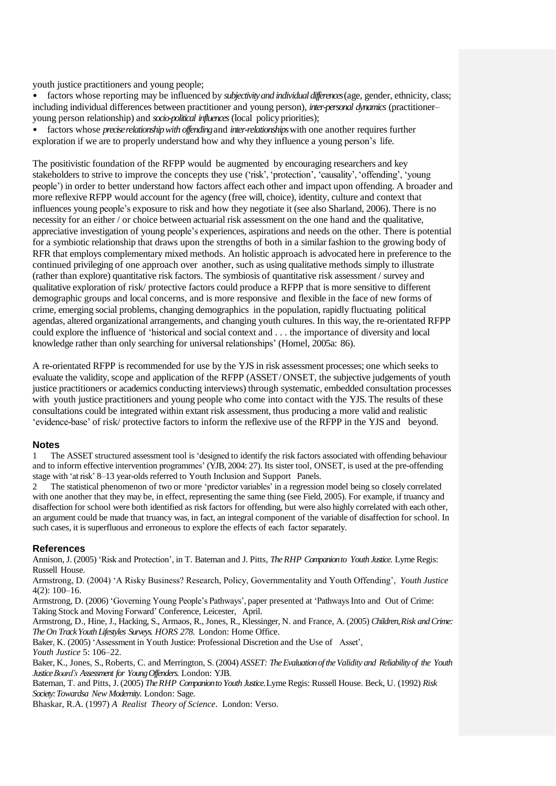youth justice practitioners and young people;

• factors whose reporting may be influenced by *subjectivity and individual differences* (age, gender, ethnicity, class; including individual differences between practitioner and young person), *inter-personal dynamics* (practitioner– young person relationship) and *socio-political influences* (local policy priorities);

• factors whose *precise relationship with offending* and *inter-relationships* with one another requires further exploration if we are to properly understand how and why they influence a young person's life.

The positivistic foundation of the RFPP would be augmented by encouraging researchers and key stakeholders to strive to improve the concepts they use ('risk', 'protection', 'causality', 'offending', 'young people') in order to better understand how factors affect each other and impact upon offending. A broader and more reflexive RFPP would account for the agency (free will, choice), identity, culture and context that influences young people's exposure to risk and how they negotiate it (see also Sharland, 2006). There is no necessity for an either / or choice between actuarial risk assessment on the one hand and the qualitative, appreciative investigation of young people's experiences, aspirations and needs on the other. There is potential for a symbiotic relationship that draws upon the strengths of both in a similar fashion to the growing body of RFR that employs complementary mixed methods. An holistic approach is advocated here in preference to the continued privileging of one approach over another, such as using qualitative methods simply to illustrate (rather than explore) quantitative risk factors. The symbiosis of quantitative risk assessment / survey and qualitative exploration of risk/ protective factors could produce a RFPP that is more sensitive to different demographic groups and local concerns, and is more responsive and flexible in the face of new forms of crime, emerging social problems, changing demographics in the population, rapidly fluctuating political agendas, altered organizational arrangements, and changing youth cultures. In this way, the re-orientated RFPP could explore the influence of 'historical and social context and . . . the importance of diversity and local knowledge rather than only searching for universal relationships' (Homel, 2005a: 86).

A re-orientated RFPP is recommended for use by the YJS in risk assessment processes; one which seeks to evaluate the validity, scope and application of the RFPP (ASSET/ONSET, the subjective judgements of youth justice practitioners or academics conducting interviews) through systematic, embedded consultation processes with youth justice practitioners and young people who come into contact with the YJS. The results of these consultations could be integrated within extant risk assessment, thus producing a more valid and realistic 'evidence-base' of risk/ protective factors to inform the reflexive use of the RFPP in the YJS and beyond.

### **Notes**

1 The ASSET structured assessment tool is 'designed to identify the risk factors associated with offending behaviour and to inform effective intervention programmes' (YJB, 2004: 27). Its sister tool, ONSET, is used at the pre-offending stage with 'at risk' 8–13 year-olds referred to Youth Inclusion and Support Panels.

2 The statistical phenomenon of two or more 'predictor variables' in a regression model being so closely correlated with one another that they may be, in effect, representing the same thing (see Field, 2005). For example, if truancy and disaffection for school were both identified as risk factors for offending, but were also highly correlated with each other, an argument could be made that truancy was, in fact, an integral component of the variable of disaffection for school. In such cases, it is superfluous and erroneous to explore the effects of each factor separately.

### **References**

Annison, J. (2005) 'Risk and Protection', in T. Bateman and J. Pitts, *The RHP Companion to Youth Justice*. Lyme Regis: Russell House.

Armstrong, D. (2004) 'A Risky Business? Research, Policy, Governmentality and Youth Offending', *Youth Justice*  4(2): 100–16.

Armstrong, D. (2006) 'Governing Young People's Pathways', paper presented at 'Pathways Into and Out of Crime: Taking Stock and Moving Forward' Conference, Leicester, April.

Armstrong, D., Hine, J., Hacking, S., Armaos, R., Jones, R., Klessinger, N. and France, A. (2005) *Children, Risk and Crime: The On Track Youth Lifestyles Surveys. HORS 278*. London: Home Office.

Baker, K. (2005) 'Assessment in Youth Justice: Professional Discretion and the Use of Asset', *Youth Justice* 5: 106–22.

Baker, K., Jones, S., Roberts, C. and Merrington, S. (2004) *ASSET: The Evaluation of the Validity and Reliability of the Youth Justice Board's Assessment for Young Offenders.* London: YJB.

Bateman, T. and Pitts, J. (2005) *The RHP Companion to Youth Justice*. Lyme Regis: Russell House. Beck, U. (1992) *Risk Society: Towardsa New Modernity*. London: Sage.

Bhaskar, R.A. (1997) *A Realist Theory of Science*. London: Verso.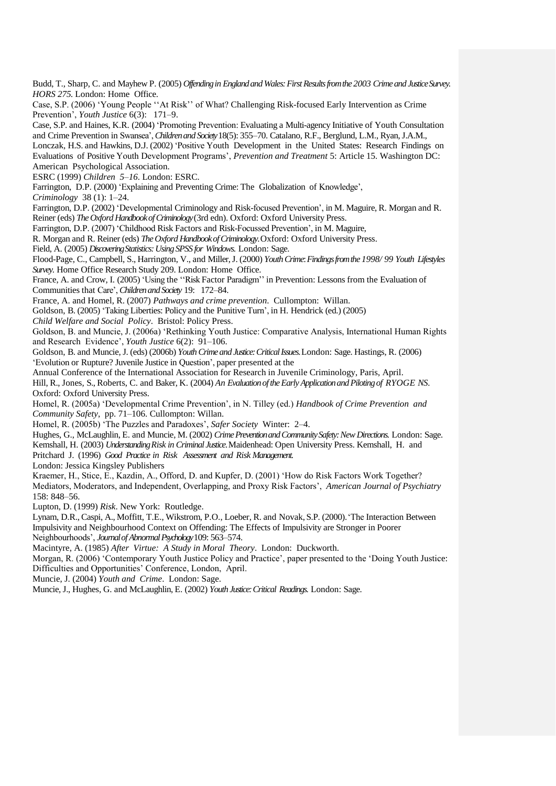Budd, T., Sharp, C. and Mayhew P. (2005) *Offending in England and Wales: First Results from the 2003 Crime and Justice Survey. HORS 275.* London: Home Office.

Case, S.P. (2006) 'Young People ''At Risk'' of What? Challenging Risk-focused Early Intervention as Crime Prevention', *Youth Justice* 6(3): 171–9.

Case, S.P. and Haines, K.R. (2004) 'Promoting Prevention: Evaluating a Multi-agency Initiative of Youth Consultation and Crime Prevention in Swansea', *Children and Society* 18(5): 355–70. Catalano, R.F., Berglund, L.M., Ryan, J.A.M.,

Lonczak, H.S. and Hawkins, D.J. (2002) 'Positive Youth Development in the United States: Research Findings on Evaluations of Positive Youth Development Programs', *Prevention and Treatment* 5: Article 15. Washington DC: American Psychological Association.

ESRC (1999) *Children 5–16*. London: ESRC.

Farrington, D.P. (2000) 'Explaining and Preventing Crime: The Globalization of Knowledge',

*Criminology* 38 (1): 1–24.

Farrington, D.P. (2002) 'Developmental Criminology and Risk-focused Prevention', in M. Maguire, R. Morgan and R. Reiner (eds) *The Oxford Handbook of Criminology* (3rd edn). Oxford: Oxford University Press.

Farrington, D.P. (2007) 'Childhood Risk Factors and Risk-Focussed Prevention', in M. Maguire,

R. Morgan and R. Reiner (eds) *The Oxford Handbook of Criminology*. Oxford: Oxford University Press.

Field, A. (2005) *Discovering Statistics: Using SPSS for Windows*. London: Sage.

Flood-Page, C., Campbell, S., Harrington, V., and Miller, J. (2000) *Youth Crime*: *Findings from the 1998/ 99 Youth Lifestyles Survey*. Home Office Research Study 209. London: Home Office.

France, A. and Crow, I. (2005) 'Using the ''Risk Factor Paradigm'' in Prevention: Lessons from the Evaluation of Communities that Care', *Children and Society* 19: 172–84.

France, A. and Homel, R. (2007) *Pathways and crime prevention*. Cullompton: Willan.

Goldson, B. (2005) 'Taking Liberties: Policy and the Punitive Turn', in H. Hendrick (ed.) (2005)

*Child Welfare and Social Policy*. Bristol: Policy Press.

Goldson, B. and Muncie, J. (2006a) 'Rethinking Youth Justice: Comparative Analysis, International Human Rights and Research Evidence', *Youth Justice* 6(2): 91–106.

Goldson, B. and Muncie, J. (eds) (2006b) *Youth Crime and Justice: Critical Issues*. London: Sage. Hastings, R. (2006) 'Evolution or Rupture? Juvenile Justice in Question', paper presented at the

Annual Conference of the International Association for Research in Juvenile Criminology, Paris, April.

Hill, R., Jones, S., Roberts, C. and Baker, K. (2004) *An Evaluation of the Early Application and Piloting of RYOGE NS*. Oxford: Oxford University Press.

Homel, R. (2005a) 'Developmental Crime Prevention', in N. Tilley (ed.) *Handbook of Crime Prevention and Community Safety*, pp. 71–106. Cullompton: Willan.

Homel, R. (2005b) 'The Puzzles and Paradoxes', *Safer Society* Winter: 2–4.

Hughes, G., McLaughlin, E. and Muncie, M. (2002) *Crime Prevention and Community Safety: New Directions*. London: Sage.

Kemshall, H. (2003) *Understanding Risk in Criminal Justice*. Maidenhead: Open University Press. Kemshall, H. and

Pritchard J. (1996) *Good Practice in Risk Assessment and Risk Management*.

London: Jessica Kingsley Publishers

Kraemer, H., Stice, E., Kazdin, A., Offord, D. and Kupfer, D. (2001) 'How do Risk Factors Work Together? Mediators, Moderators, and Independent, Overlapping, and Proxy Risk Factors', *American Journal of Psychiatry*  158: 848–56.

Lupton, D. (1999) *Risk*. New York: Routledge.

Lynam, D.R.,Caspi, A., Moffitt, T.E., Wikstrom, P.O., Loeber, R. and Novak,S.P. (2000).'The Interaction Between Impulsivity and Neighbourhood Context on Offending: The Effects of Impulsivity are Stronger in Poorer Neighbourhoods', *Journal of Abnormal Psychology* 109: 563–574.

Macintyre, A. (1985) *After Virtue: A Study in Moral Theory*. London: Duckworth.

Morgan, R. (2006) 'Contemporary Youth Justice Policy and Practice', paper presented to the 'Doing Youth Justice: Difficulties and Opportunities' Conference, London, April.

Muncie, J. (2004) *Youth and Crime*. London: Sage.

Muncie, J., Hughes, G. and McLaughlin, E. (2002) *Youth Justice: Critical Readings*. London: Sage.